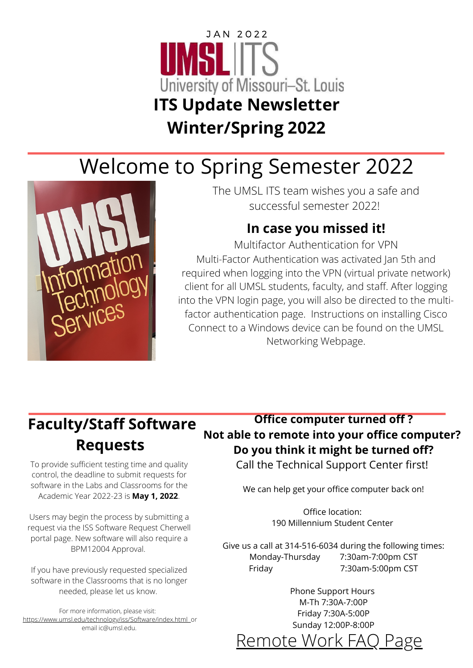# J A N 2 0 2 2 University of Missouri-St. Louis **ITS Update Newsletter Winter/Spring 2022**

# Welcome to Spring Semester 2022



The UMSL ITS team wishes you a safe and successful semester 2022!

#### **In case you missed it!**

**MU students go** client for all UMSL students, faculty, and staff. After logging **on outreach - 3** into the VPN login page, you will also be directed to the multi-**O THE R U P DAT ES** Multi-Factor Authentication was activated Jan 5th and required when logging into the VPN (virtual private network) Multifactor Authentication for VPN factor authentication page. Instructions on installing Cisco Connect to a Windows device can be found on the UMSL Networking Webpage.

## **Faculty/Staff Software Requests**

To provide sufficient testing time and quality control, the deadline to submit requests for software in the Labs and Classrooms for the Academic Year 2022-23 is **May 1, 2022**.

Users may begin the process by submitting a request via the ISS [Software](https://cherwell.umsystem.edu/CherwellPortal/UMSLITPortal?_=7ea55306) Request Cherwell portal page. New software will also require a [BPM12004](https://apps.umsl.edu/webapps/ITS/bpm12004/index.cfm) Approval.

If you have previously requested specialized software in the Classrooms that is no longer needed, please let us know.

For more information, please visit: <https://www.umsl.edu/technology/iss/Software/index.html>or email [ic@umsl.edu](mailto:ic@umsl.edu).

#### **Office computer turned off ? Not able to remote into your office computer? Do you think it might be turned off?**

Call the Technical Support Center first!

We can help get your office computer back on!

Office location: 190 Millennium Student Center

Give us a call at 314-516-6034 during the following times: Monday-Thursday 7:30am-7:00pm CST Friday 7:30am-5:00pm CST

> Phone Support Hours M-Th 7:30A-7:00P Friday 7:30A-5:00P Sunday 12:00P-8:00P

[Remote](https://www.umsl.edu/technology/remote-work-FAQ.html) Work FAQ Page